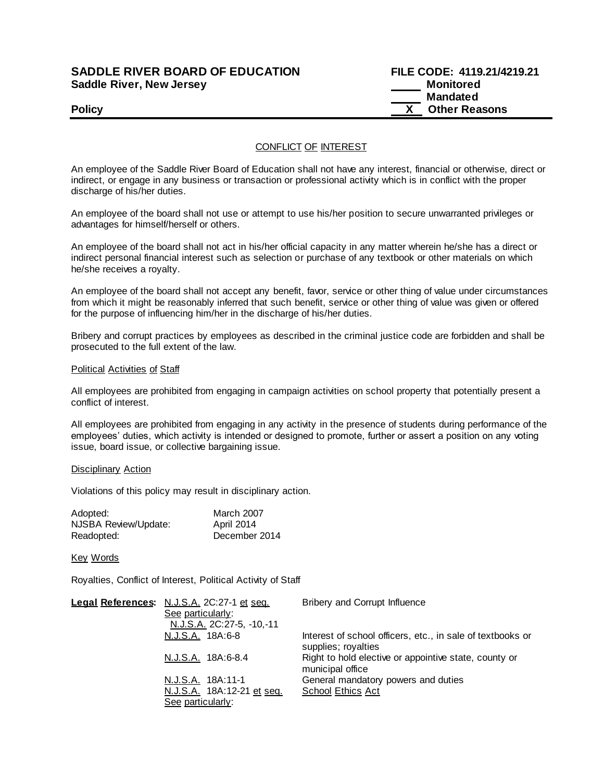## **SADDLE RIVER BOARD OF EDUCATION Saddle River, New Jersey**

| <b>SADDLE RIVER BOARD OF EDUCATION</b> | FILE CODE: 4119.21/4219.21 |
|----------------------------------------|----------------------------|
| Saddle River, New Jersey               | Monitored                  |
|                                        | Mandated                   |
| <b>Policy</b>                          | <b>Other Reasons</b>       |

## CONFLICT OF INTEREST

An employee of the Saddle River Board of Education shall not have any interest, financial or otherwise, direct or indirect, or engage in any business or transaction or professional activity which is in conflict with the proper discharge of his/her duties.

An employee of the board shall not use or attempt to use his/her position to secure unwarranted privileges or advantages for himself/herself or others.

An employee of the board shall not act in his/her official capacity in any matter wherein he/she has a direct or indirect personal financial interest such as selection or purchase of any textbook or other materials on which he/she receives a royalty.

An employee of the board shall not accept any benefit, favor, service or other thing of value under circumstances from which it might be reasonably inferred that such benefit, service or other thing of value was given or offered for the purpose of influencing him/her in the discharge of his/her duties.

Bribery and corrupt practices by employees as described in the criminal justice code are forbidden and shall be prosecuted to the full extent of the law.

#### Political Activities of Staff

All employees are prohibited from engaging in campaign activities on school property that potentially present a conflict of interest.

All employees are prohibited from engaging in any activity in the presence of students during performance of the employees' duties, which activity is intended or designed to promote, further or assert a position on any voting issue, board issue, or collective bargaining issue.

#### Disciplinary Action

Violations of this policy may result in disciplinary action.

| Adopted:             | March 2007        |
|----------------------|-------------------|
| NJSBA Review/Update: | <b>April 2014</b> |
| Readopted:           | December 2014     |

### Key Words

Royalties, Conflict of Interest, Political Activity of Staff

| Legal References: N.J.S.A. 2C:27-1 et seq.<br>See particularly: | Bribery and Corrupt Influence                                                     |
|-----------------------------------------------------------------|-----------------------------------------------------------------------------------|
| N.J.S.A. 2C:27-5, -10,-11                                       |                                                                                   |
| N.J.S.A. 18A:6-8                                                | Interest of school officers, etc., in sale of textbooks or<br>supplies; royalties |
| N.J.S.A. 18A:6-8.4                                              | Right to hold elective or appointive state, county or<br>municipal office         |
| N.J.S.A. 18A:11-1                                               | General mandatory powers and duties                                               |
| N.J.S.A. 18A:12-21 et seq.                                      | School Ethics Act                                                                 |
| See particularly:                                               |                                                                                   |